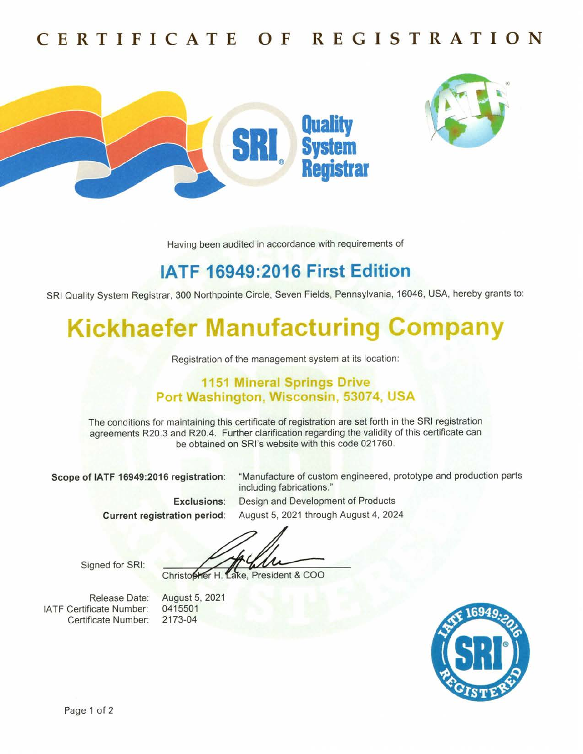## CERTIFICATE 0F RE GISTRATI0N





Having been audited in accordance with requirements of

## lATF 16949:2016 First Edition

SRI Quality System Registrar, 300 Northpointe Circle, Seven Fields, Pennsylvania,16046, USA, hereby grants to:

# **Kickhaefer Manufacturing Company**

Registration of the management system at its location:

#### 1151 Mineral Springs Drive Port Washington, Wisconsin, 53074, USA

The conditions for maintaining this certificate of registration are set forth in the SRl registration agreements R20.3 and R20.4. Further clarification regarding the validity of this certificate can be obtained on SRl's website with this code 021760.

Scope of IATF 16949:2016 registration: "Manufacture of custom engineered, prototype and production parts

including fabrications." Exclusions: Design and Development of Products Current registration period: August 5, 2021 through August 4, 2024

Signed for SRI:

Christopher H. Lake, President & COO

Release Date: lATF Certificate Number: Certificate Number:

August 5, 2021 0415501 2173-04